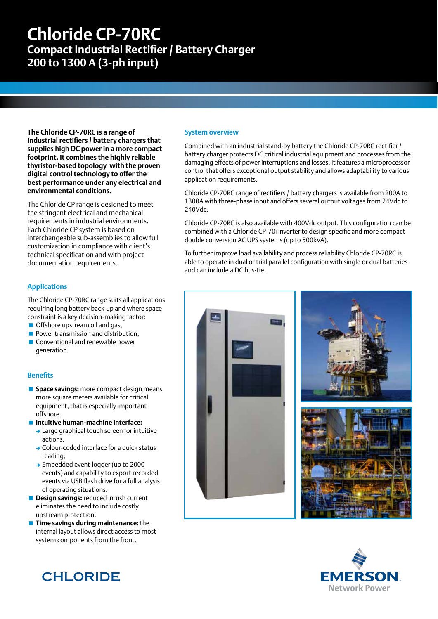# **Chloride CP-70RC**

**Compact Industrial Rectifier / Battery Charger 200 to 1300 A (3-ph input)**

**The Chloride CP-70RC is a range of industrial rectifiers / battery chargers that supplies high DC power in a more compact footprint. It combines the highly reliable thyristor-based topology with the proven digital control technology to offer the best performance under any electrical and environmental conditions.**

The Chloride CP range is designed to meet the stringent electrical and mechanical requirements in industrial environments. Each Chloride CP system is based on interchangeable sub-assemblies to allow full customization in compliance with client's technical specification and with project documentation requirements.

### **Applications**

The Chloride CP-70RC range suits all applications requiring long battery back-up and where space constraint is a key decision-making factor:

- Offshore upstream oil and gas,
- **Power transmission and distribution. Conventional and renewable power** generation.

#### **Benefits**

- **Space savings:** more compact design means more square meters available for critical equipment, that is especially important offshore.
- **Intuitive human-machine interface:**
	- $\rightarrow$  Large graphical touch screen for intuitive actions,
	- $\rightarrow$  Colour-coded interface for a quick status reading,
	- → Embedded event-logger (up to 2000 events) and capability to export recorded events via USB flash drive for a full analysis of operating situations.
- **Design savings:** reduced inrush current eliminates the need to include costly upstream protection.
- **Time savings during maintenance:** the internal layout allows direct access to most system components from the front.

#### **System overview**

Combined with an industrial stand-by battery the Chloride CP-70RC rectifier / battery charger protects DC critical industrial equipment and processes from the damaging effects of power interruptions and losses. It features a microprocessor control that offers exceptional output stability and allows adaptability to various application requirements.

Chloride CP-70RC range of rectifiers / battery chargers is available from 200A to 1300A with three-phase input and offers several output voltages from 24Vdc to 240Vdc.

Chloride CP-70RC is also available with 400Vdc output. This configuration can be combined with a Chloride CP-70i inverter to design specific and more compact double conversion AC UPS systems (up to 500kVA).

To further improve load availability and process reliability Chloride CP-70RC is able to operate in dual or trial parallel configuration with single or dual batteries and can include a DC bus-tie.









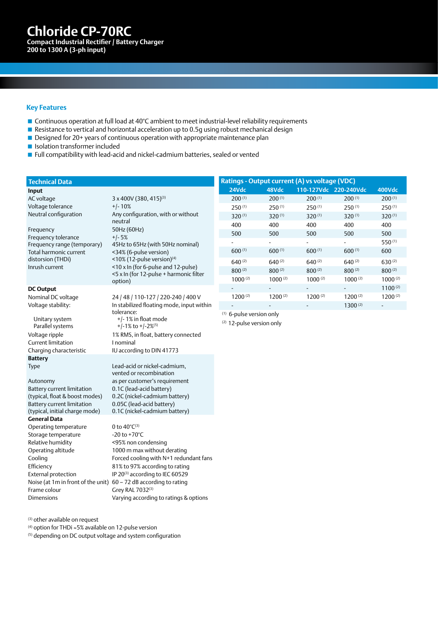**Chloride CP-70Z 31 Chloride CP-70RC AC Uninterruptible Power Supply System Compact Industrial Rectifier / Battery Charger 200 to 1300 A (3-ph input)**

#### **Key Features**

- Continuous operation at full load at 40°C ambient to meet industrial-level reliability requirements
- Resistance to vertical and horizontal acceleration up to 0.5q using robust mechanical design
- Designed for 20+ years of continuous operation with appropriate maintenance plan
- **In Isolation transformer included**
- **Full compatibility with lead-acid and nickel-cadmium batteries, sealed or vented**

neutral

+/- 5%

# **Technical Data Input**

AC voltage 3 x 400V (380, 415)(3) Voltage tolerance  $+/-10\%$ Neutral configuration Any configuration, with or without

Frequency 50Hz (60Hz) Frequency tolerance Frequency range (temporary) Total harmonic current distorsion (THDi)

#### **DC Output**

Voltage stability:

Unitary system Parallel systems Current limitation **I** nominal Charging characteristic IU according to DIN 41773 **Battery**

Battery current limitation (typical, float & boost modes) Battery current limitation (typical, initial charge mode) **General Data** Operating temperature  $0$  to  $40^{\circ}C^{(3)}$ Storage temperature -20 to +70°C Relative humidity <95% non condensing Operating altitude 1000 m max without derating Efficiency 81% to 97% according to rating External protection  $IP 20^{(3)}$  according to IEC 60529 Noise (at 1m in front of the unit) 60 – 72 dB according to rating Frame colour Grey RAL 7032<sup>(3)</sup>

<34% (6-pulse version)  $\leq$ 10% (12-pulse version)<sup>(4)</sup> Inrush current <10 x In (for 6-pulse and 12-pulse) <5 x In (for 12-pulse + harmonic filter option) Nominal DC voltage 24 / 48 / 110-127 / 220-240 / 400 V In stabilized floating mode, input within tolerance:

45Hz to 65Hz (with 50Hz nominal)

+/- 1% in float mode  $+/-1\%$  to  $+/-2\%$ <sup>(5)</sup> Voltage ripple 1% RMS, in float, battery connected

Type Lead-acid or nickel-cadmium, vented or recombination Autonomy as per customer's requirement 0.1C (lead-acid battery) 0.2C (nickel-cadmium battery) 0.05C (lead-acid battery) 0.1C (nickel-cadmium battery)

Cooling Forced cooling with N+1 redundant fans Dimensions Varying according to ratings & options

(3) other available on request

(4) option for THDi ≈5% available on 12-pulse version

(5) depending on DC output voltage and system configuration

| Ratings - Output current (A) vs voltage (VDC) |                          |                              |                              |              |
|-----------------------------------------------|--------------------------|------------------------------|------------------------------|--------------|
| 24Vdc                                         | 48Vdc                    |                              | 110-127Vdc 220-240Vdc        | 400Vdc       |
| 200(1)                                        | 200(1)                   | $200^{(1)}$                  | 200(1)                       | 200(1)       |
| $250^{(1)}$                                   | 250(1)                   | $250^{(1)}$                  | $250^{(1)}$                  | 250(1)       |
| $320^{(1)}$                                   | $320^{(1)}$              | $320^{(1)}$                  | $320^{(1)}$                  | $320^{(1)}$  |
| 400                                           | 400                      | 400                          | 400                          | 400          |
| 500                                           | 500                      | 500                          | 500                          | 500          |
|                                               | ۰                        | $\qquad \qquad \blacksquare$ | $\qquad \qquad \blacksquare$ | 550(1)       |
| 600(1)                                        | 600(1)                   | 600(1)                       | 600(1)                       | 600          |
| $640^{(2)}$                                   | $640^{(2)}$              | $640^{(2)}$                  | $640^{(2)}$                  | $630^{(2)}$  |
| $800^{(2)}$                                   | $800^{(2)}$              | $800^{(2)}$                  | $800^{(2)}$                  | $800^{(2)}$  |
| $1000^{(2)}$                                  | $1000^{(2)}$             | $1000^{(2)}$                 | $1000^{(2)}$                 | $1000^{(2)}$ |
|                                               | $\overline{\phantom{a}}$ | -                            | -                            | $1100^{(2)}$ |
| $1200^{(2)}$                                  | $1200^{(2)}$             | $1200^{(2)}$                 | $1200^{(2)}$                 | $1200^{(2)}$ |
|                                               |                          |                              | $1300^{(2)}$                 |              |

(1) 6-pulse version only

(2) 12-pulse version only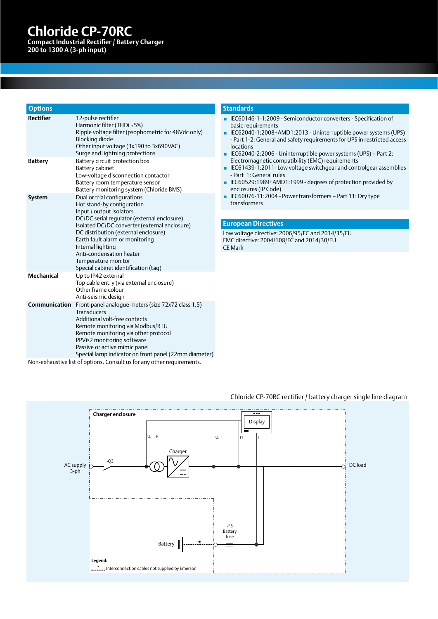# **Chloride CP-70Z 31 Chloride CP-70RC**

**AC Uninterruptible Power Supply System Compact Industrial Rectifier / Battery Charger 200 to 1300 A (3-ph input)**

| <b>Options</b>    |                                                                                                                                                                                                                                                                                                                                                                                   |
|-------------------|-----------------------------------------------------------------------------------------------------------------------------------------------------------------------------------------------------------------------------------------------------------------------------------------------------------------------------------------------------------------------------------|
| <b>Rectifier</b>  | 12-pulse rectifier<br>Harmonic filter (THDi ≈5%)<br>Ripple voltage filter (psophometric for 48Vdc only)<br>Blocking diode<br>Other input voltage (3x190 to 3x690VAC)<br>Surge and lightning protections                                                                                                                                                                           |
| <b>Battery</b>    | Battery circuit protection box<br>Battery cabinet<br>Low-voltage disconnection contactor<br>Battery room temperature sensor<br>Battery monitoring system (Chloride BMS)                                                                                                                                                                                                           |
| <b>System</b>     | Dual or trial configurations<br>Hot stand-by configuration<br>Input / output isolators<br>DC/DC serial regulator (external enclosure)<br>Isolated DC/DC converter (external enclosure)<br>DC distribution (external enclosure)<br>Earth fault alarm or monitoring<br>Internal lighting<br>Anti-condensation heater<br>Temperature monitor<br>Special cabinet identification (tag) |
| <b>Mechanical</b> | Up to IP42 external<br>Top cable entry (via external enclosure)<br>Other frame colour<br>Anti-seismic design                                                                                                                                                                                                                                                                      |
| Communication     | Front-panel analogue meters (size 72x72 class 1.5)<br>Transducers<br>Additional volt-free contacts<br>Remote monitoring via Modbus/RTU<br>Remote monitoring via other protocol<br>PPVis2 monitoring software<br>Passive or active mimic panel<br>Special lamp indicator on front panel (22mm diameter)                                                                            |

#### **Standards**

- IEC60146-1-1:2009 Semiconductor converters Specification of basic requirements
- IEC62040-1:2008+AMD1:2013 Uninterruptible power systems (UPS) - Part 1-2: General and safety requirements for UPS in restricted access locations
- IEC62040-2:2006 Uninterruptible power systems (UPS) Part 2: Electromagnetic compatibility (EMC) requirements
- IEC61439-1:2011- Low voltage switchgear and controlgear assemblies - Part 1: General rules
- IEC60529:1989+AMD1:1999 degrees of protection provided by enclosures (IP Code)
- IEC60076-11:2004 Power transformers Part 11: Dry type transformers

#### **European Directives**

Low voltage directive: 2006/95/EC and 2014/35/EU EMC directive: 2004/108/EC and 2014/30/EU CE Mark

Non-exhaustive list of options. Consult us for any other requirements.



#### Chloride CP-70RC rectifier / battery charger single line diagram